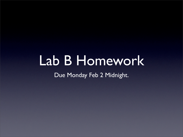# Lab B Homework

Due Monday Feb 2 Midnight.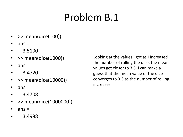### Problem
B.1

- >> mean(dice(100))
- $ans =$
- 3.5100
- >> mean(dice(1000))
- $ans =$
- 3.4720
- >> mean(dice(10000))
- $ans =$
- 3.4708
- >> mean(dice(1000000))
- $ans =$
- 3.4988

Looking at the values I got as I increased the
number
of
rolling
the
dice,
the
mean values
get
closer
to
3.5.
I
can
make
a guess
that
the
mean
value
of
the
dice converges
to
3.5
as
the
number
of
rolling increases.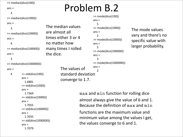```
ans =
```

```

3
```

```
>>
median(dice(1000))
```
#### $ans =$

```

3
>>
median(dice(10000))
ans =

4
>>
median(dice(100000))
ans =
```
#### 3

```
>>
median(dice(1000000))
```

```
ans =
```

```

4
         >>
std(dice(100))
         ans =

1.6881
         >>
std(dice(1000))
         ans =

1.7369
         >>
std(dice(10000))
         ans =

1.7055
         >>
std(dice(100000))
         ans =

1.7035
         >>
std(dice(1000000))
         ans =

1.7079
```
## $\text{S}$  >> median(dice(100))<br>ans =

```
>>
mode(dice(100))
                                  ans =

5
                                  >>
mode(dice(1000))
                                  ans
=
                                     \mathcal{L}>>
mode(dice(10000))
                                  ans =

5
                                  >>
mode(dice(100000))
                                  ans =

3
                                  >>
mode(dice(1000000))
                                  ans =\overline{\mathcal{L}}The
median
values

are
almost
all

times
either
3
or
4

no
matter
how

many
times
I
rolled
the
dice.
          The
values
of

          standard
deviation

          converge
to
1.7.
```
The
mode
values vary
and
there's
no specific
value
with larger
probability.

maxand minfunction
for
rolling
dice almost
always
give
the
value
of
6
and
1. Because
the
definition
of maxand min functions are the maximum value and minimum
value
among
the
values
I
get, the
values
converge
to
6
and
1.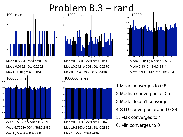## Problem B.3 – rand



Mean:0.5008 ; Median:0.5009

 $0.4$   $\phi$ .5 0.6

Max:1 ; Min:9.2886e-006

800

600

400

 $200$ 

Mode:6.7921e-004 ; Std:0.2886



Mean:0.5080 ; Median:0.5120 Mode:3.5421e-004 ; Std:0.2870 Max:0.9994 ; Min:8.8725e-004 1000000 times







Mode:0.1313 ; Std:0.2911 Max:0.9999 ; Min: 2.1313e-004

1.Mean converges to 0.5 2.Median converges to 0.5 3.Mode doesn't converge 4.STD converges around 0.29 5. Max converges to 1 6. Min converges to 0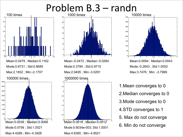## Problem B.3 – randn







Max:3.7476 ; Min: -3.7989

1.Mean converges to 0 2.Median converges to 0 3.Mode converges to 0 4.STD converges to 1 5. Max do not converge 6. Min do not converge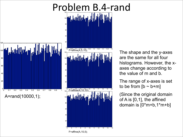



The shape and the y-axes are the same for all four histograms. However, the xaxes change according to the value of m and b.

The range of x-axes is set to be from  $[b - b+m]$ 

(Since the original domain of A is [0,1], the affined domain is [0\*m+b,1\*m+b]

F=affine(A,10,5);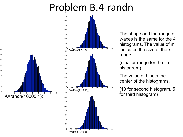### Problem
B.4‐randn





The shape and the range of y-axes is the same for the 4 histograms. The value of m indicates the size of the xrange.

(smaller range for the first histogram)

The value of b sets the center of the histograms.

(10 for second histogram, 5 for third histogram)